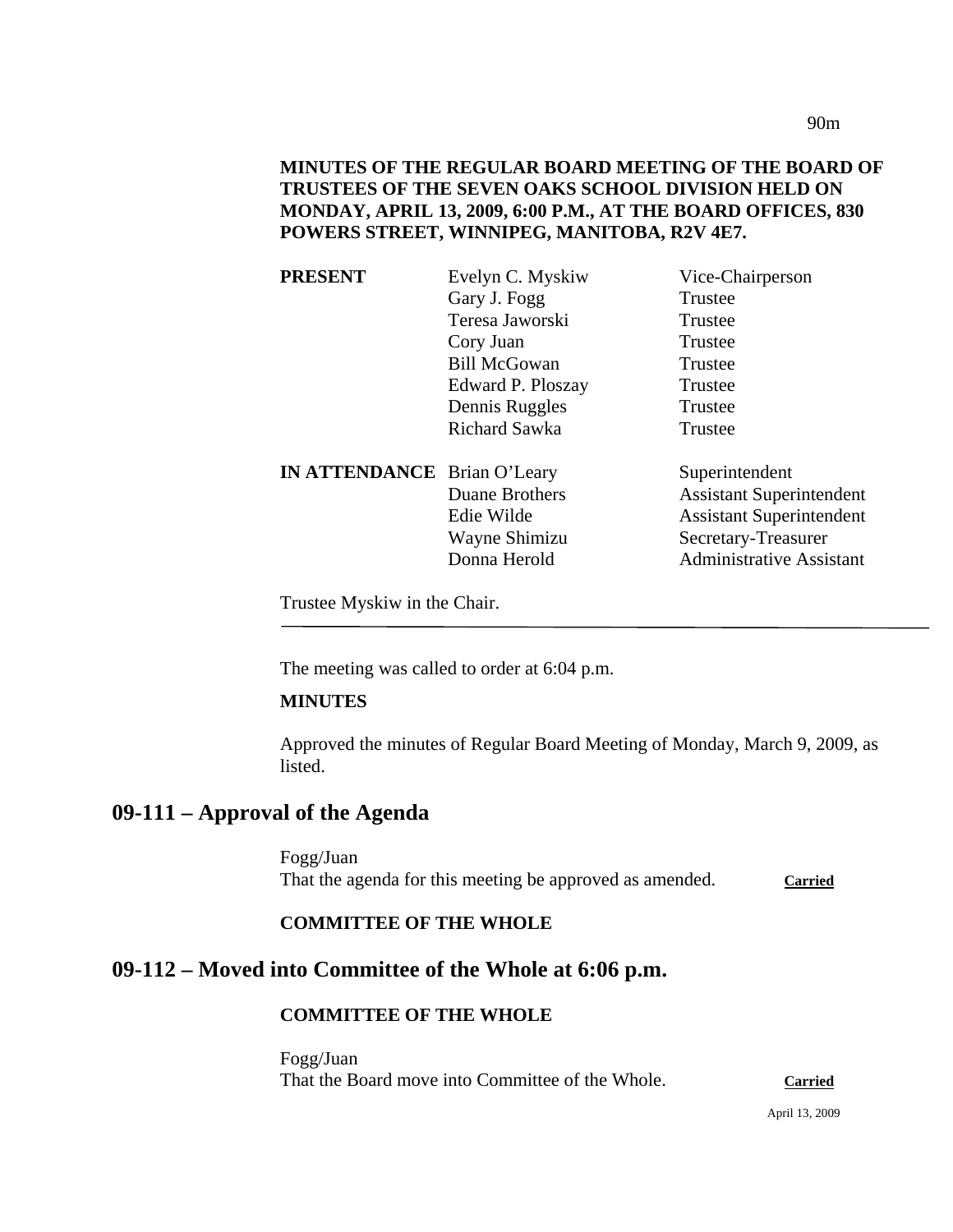90m

## **MINUTES OF THE REGULAR BOARD MEETING OF THE BOARD OF TRUSTEES OF THE SEVEN OAKS SCHOOL DIVISION HELD ON MONDAY, APRIL 13, 2009, 6:00 P.M., AT THE BOARD OFFICES, 830 POWERS STREET, WINNIPEG, MANITOBA, R2V 4E7.**

| <b>PRESENT</b>                     | Evelyn C. Myskiw      | Vice-Chairperson                |
|------------------------------------|-----------------------|---------------------------------|
|                                    | Gary J. Fogg          | Trustee                         |
|                                    | Teresa Jaworski       | Trustee                         |
|                                    | Cory Juan             | Trustee                         |
|                                    | <b>Bill McGowan</b>   | Trustee                         |
|                                    | Edward P. Ploszay     | Trustee                         |
|                                    | Dennis Ruggles        | Trustee                         |
|                                    | <b>Richard Sawka</b>  | Trustee                         |
| <b>IN ATTENDANCE</b> Brian O'Leary |                       | Superintendent                  |
|                                    | <b>Duane Brothers</b> | <b>Assistant Superintendent</b> |
|                                    | Edie Wilde            | <b>Assistant Superintendent</b> |
|                                    | Wayne Shimizu         | Secretary-Treasurer             |
|                                    | Donna Herold          | <b>Administrative Assistant</b> |
|                                    |                       |                                 |

Trustee Myskiw in the Chair.

The meeting was called to order at 6:04 p.m.

#### **MINUTES**

Approved the minutes of Regular Board Meeting of Monday, March 9, 2009, as listed.

## **09-111 – Approval of the Agenda**

Fogg/Juan That the agenda for this meeting be approved as amended. Carried

#### **COMMITTEE OF THE WHOLE**

# **09-112 – Moved into Committee of the Whole at 6:06 p.m.**

#### **COMMITTEE OF THE WHOLE**

Fogg/Juan That the Board move into Committee of the Whole. **Carried**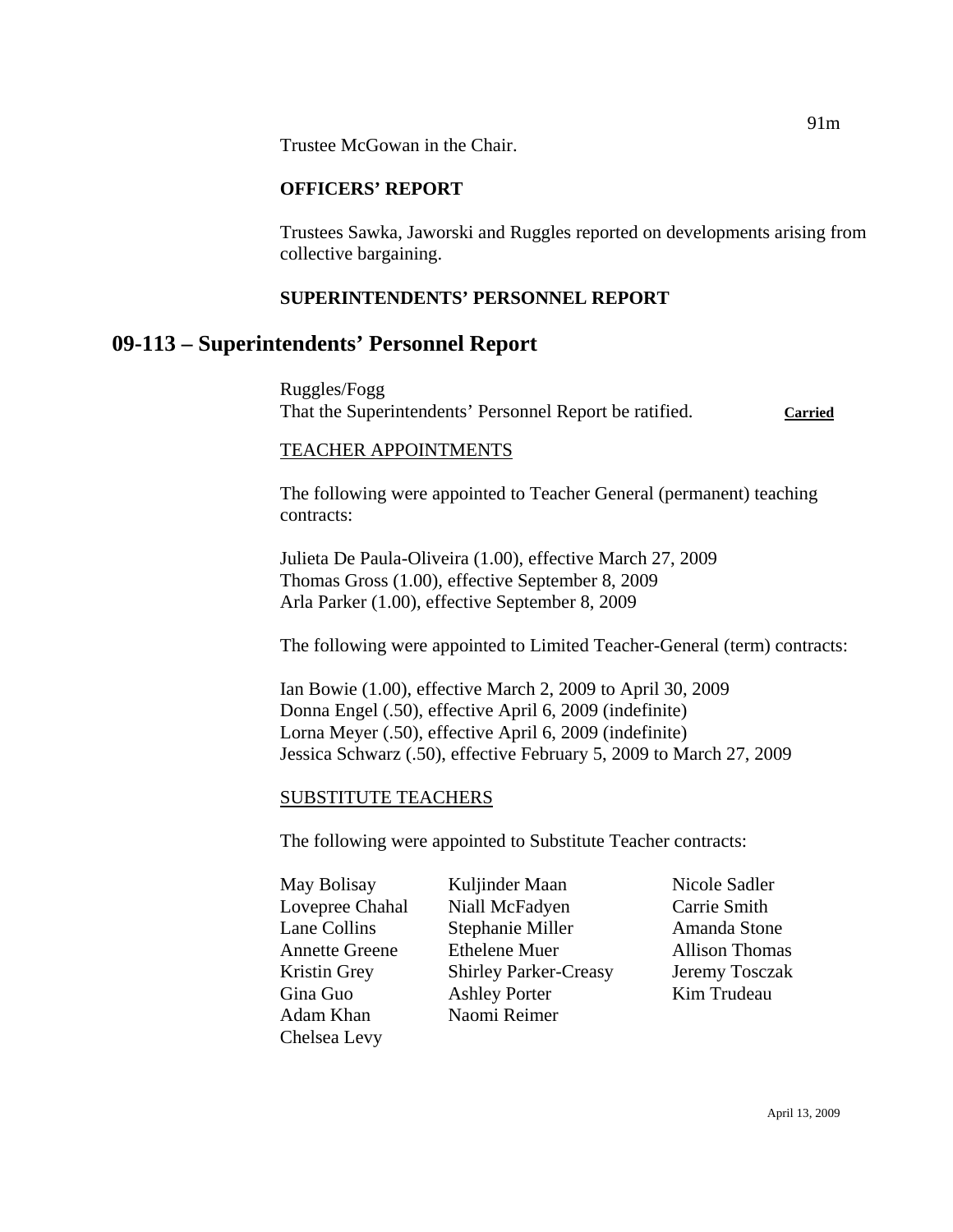Trustee McGowan in the Chair.

#### **OFFICERS' REPORT**

Trustees Sawka, Jaworski and Ruggles reported on developments arising from collective bargaining.

#### **SUPERINTENDENTS' PERSONNEL REPORT**

## **09-113 – Superintendents' Personnel Report**

Ruggles/Fogg That the Superintendents' Personnel Report be ratified. **Carried**

#### TEACHER APPOINTMENTS

The following were appointed to Teacher General (permanent) teaching contracts:

Julieta De Paula-Oliveira (1.00), effective March 27, 2009 Thomas Gross (1.00), effective September 8, 2009 Arla Parker (1.00), effective September 8, 2009

The following were appointed to Limited Teacher-General (term) contracts:

Ian Bowie (1.00), effective March 2, 2009 to April 30, 2009 Donna Engel (.50), effective April 6, 2009 (indefinite) Lorna Meyer (.50), effective April 6, 2009 (indefinite) Jessica Schwarz (.50), effective February 5, 2009 to March 27, 2009

#### SUBSTITUTE TEACHERS

The following were appointed to Substitute Teacher contracts:

| May Bolisay           |
|-----------------------|
| Lovepree Chahal       |
| Lane Collins          |
| <b>Annette Greene</b> |
| Kristin Grey          |
| Gina Guo              |
| Adam Khan             |
| Chelsea Levy          |

Kuljinder Maan Nicole Sadler Niall McFadyen Carrie Smith Stephanie Miller **Amanda** Stone Ethelene Muer Allison Thomas Shirley Parker-Creasy Jeremy Tosczak Ashley Porter Kim Trudeau Naomi Reimer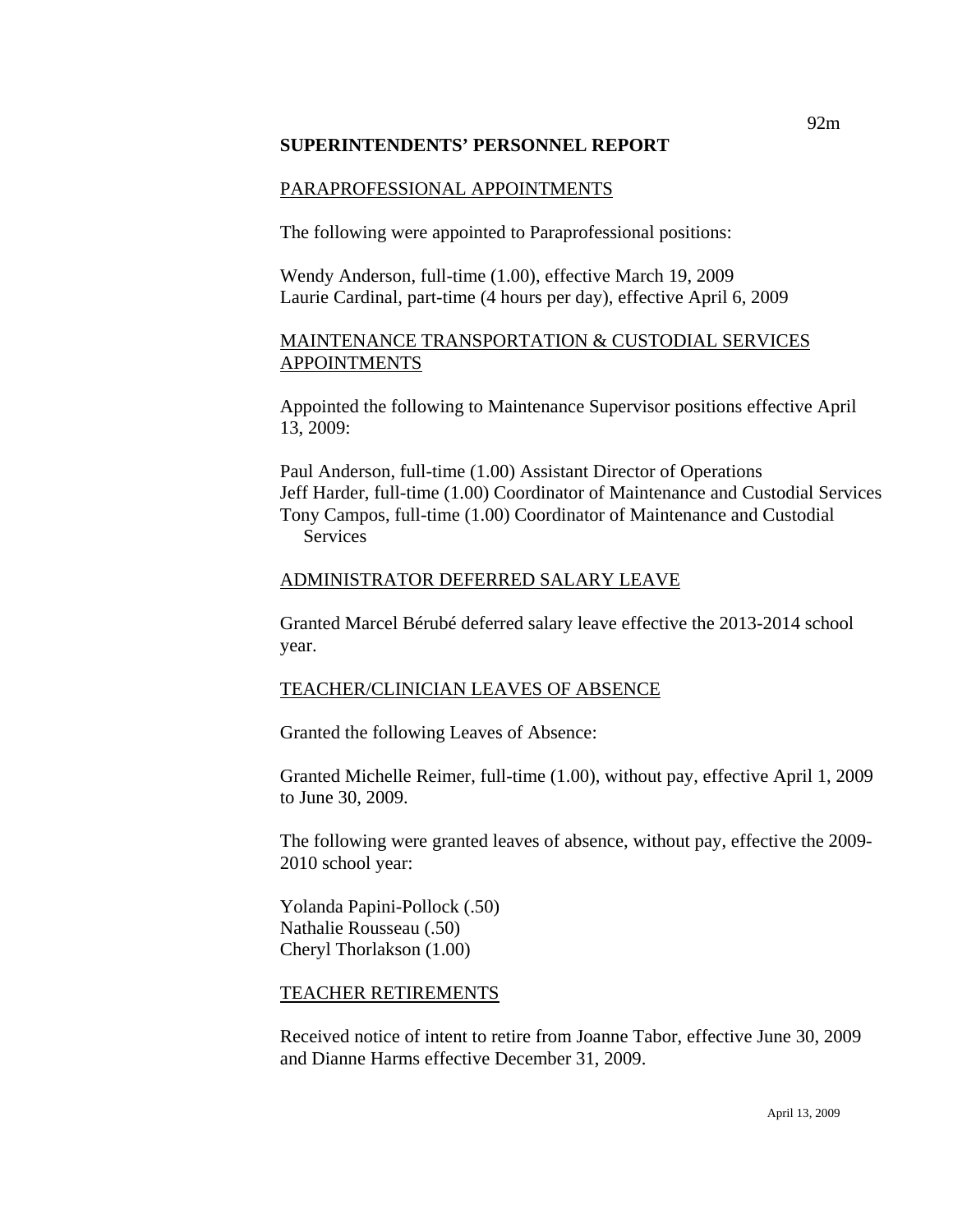#### **SUPERINTENDENTS' PERSONNEL REPORT**

#### PARAPROFESSIONAL APPOINTMENTS

The following were appointed to Paraprofessional positions:

Wendy Anderson, full-time (1.00), effective March 19, 2009 Laurie Cardinal, part-time (4 hours per day), effective April 6, 2009

#### MAINTENANCE TRANSPORTATION & CUSTODIAL SERVICES APPOINTMENTS

Appointed the following to Maintenance Supervisor positions effective April 13, 2009:

Paul Anderson, full-time (1.00) Assistant Director of Operations Jeff Harder, full-time (1.00) Coordinator of Maintenance and Custodial Services Tony Campos, full-time (1.00) Coordinator of Maintenance and Custodial Services

#### ADMINISTRATOR DEFERRED SALARY LEAVE

Granted Marcel Bérubé deferred salary leave effective the 2013-2014 school year.

#### TEACHER/CLINICIAN LEAVES OF ABSENCE

Granted the following Leaves of Absence:

Granted Michelle Reimer, full-time (1.00), without pay, effective April 1, 2009 to June 30, 2009.

The following were granted leaves of absence, without pay, effective the 2009- 2010 school year:

Yolanda Papini-Pollock (.50) Nathalie Rousseau (.50) Cheryl Thorlakson (1.00)

#### TEACHER RETIREMENTS

Received notice of intent to retire from Joanne Tabor, effective June 30, 2009 and Dianne Harms effective December 31, 2009.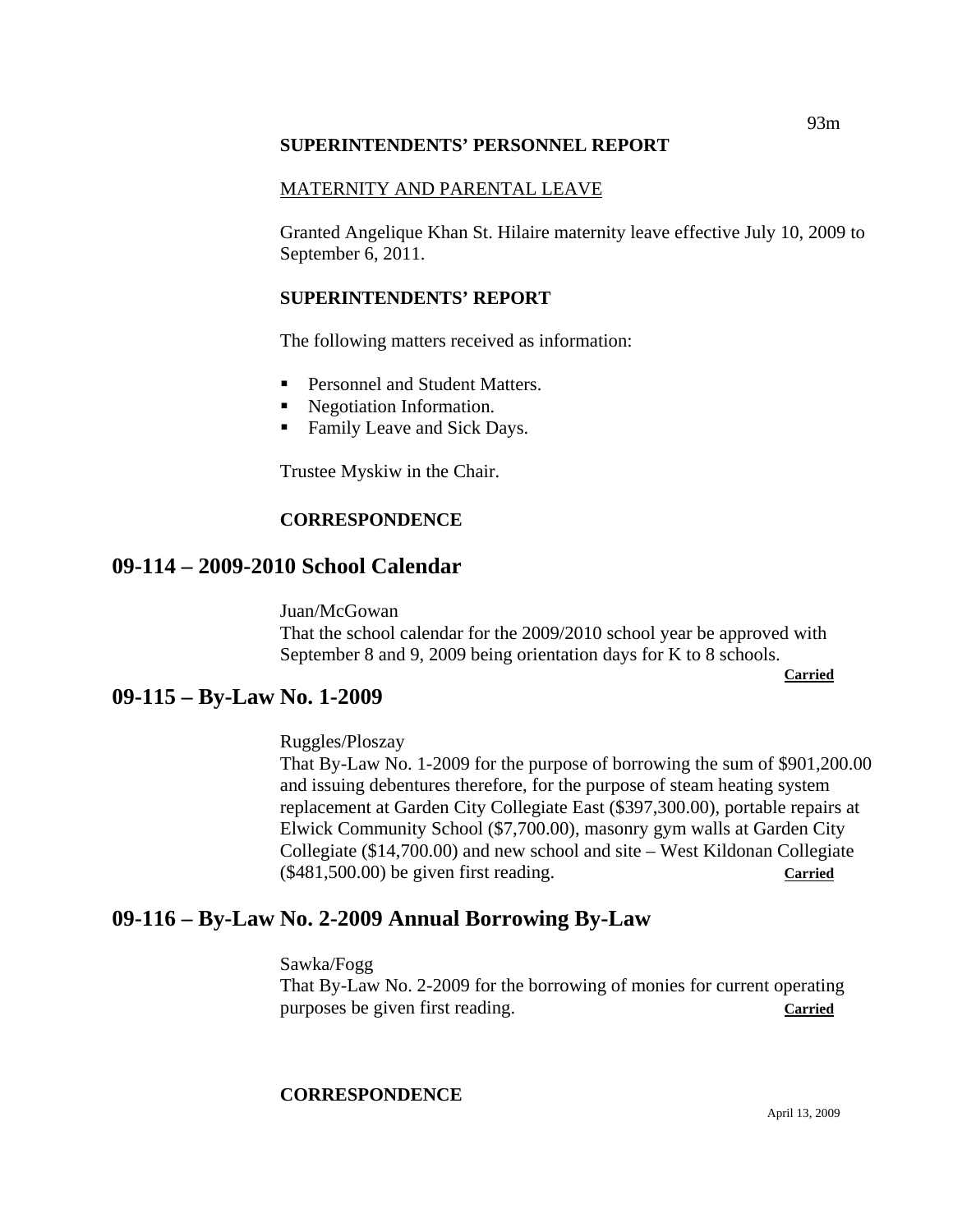#### **SUPERINTENDENTS' PERSONNEL REPORT**

### MATERNITY AND PARENTAL LEAVE

Granted Angelique Khan St. Hilaire maternity leave effective July 10, 2009 to September 6, 2011.

#### **SUPERINTENDENTS' REPORT**

The following matters received as information:

- **Personnel and Student Matters.**
- Negotiation Information.
- **Family Leave and Sick Days.**

Trustee Myskiw in the Chair.

#### **CORRESPONDENCE**

## **09-114 – 2009-2010 School Calendar**

Juan/McGowan That the school calendar for the 2009/2010 school year be approved with September 8 and 9, 2009 being orientation days for K to 8 schools.

**Carried** 

## **09-115 – By-Law No. 1-2009**

#### Ruggles/Ploszay

That By-Law No. 1-2009 for the purpose of borrowing the sum of \$901,200.00 and issuing debentures therefore, for the purpose of steam heating system replacement at Garden City Collegiate East (\$397,300.00), portable repairs at Elwick Community School (\$7,700.00), masonry gym walls at Garden City Collegiate (\$14,700.00) and new school and site – West Kildonan Collegiate (\$481,500.00) be given first reading. **Carried**

## **09-116 – By-Law No. 2-2009 Annual Borrowing By-Law**

Sawka/Fogg

That By-Law No. 2-2009 for the borrowing of monies for current operating purposes be given first reading. **Carried** 

## **CORRESPONDENCE**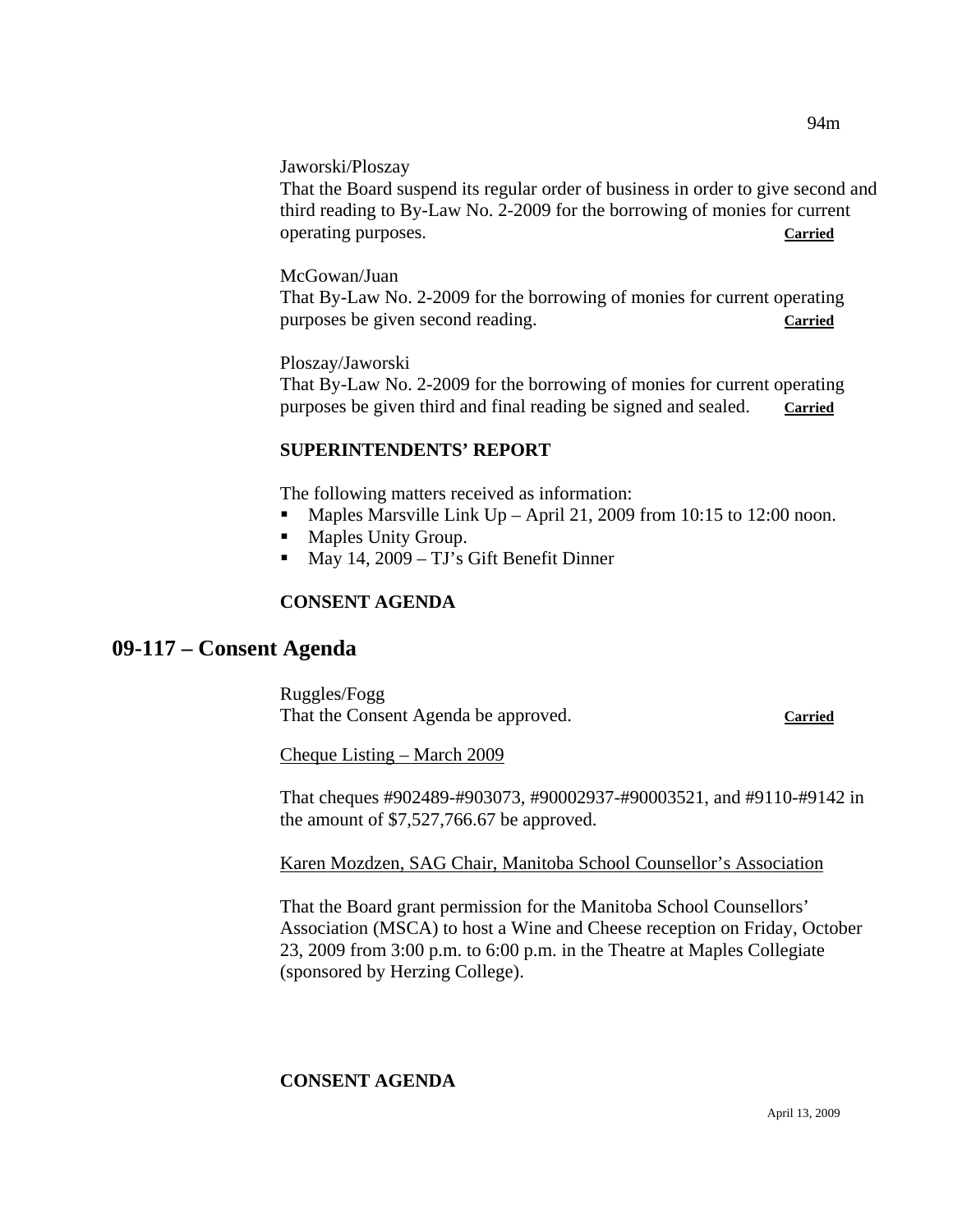That the Board suspend its regular order of business in order to give second and third reading to By-Law No. 2-2009 for the borrowing of monies for current operating purposes. **Carried**

## McGowan/Juan

That By-Law No. 2-2009 for the borrowing of monies for current operating purposes be given second reading. **Carried**

Ploszay/Jaworski

That By-Law No. 2-2009 for the borrowing of monies for current operating purposes be given third and final reading be signed and sealed. **Carried**

## **SUPERINTENDENTS' REPORT**

The following matters received as information:

- Maples Marsville Link Up April 21, 2009 from 10:15 to 12:00 noon.
- Maples Unity Group.
- May 14, 2009 TJ's Gift Benefit Dinner

## **CONSENT AGENDA**

## **09-117 – Consent Agenda**

Ruggles/Fogg That the Consent Agenda be approved. **Carried**

Cheque Listing – March 2009

That cheques #902489-#903073, #90002937-#90003521, and #9110-#9142 in the amount of \$7,527,766.67 be approved.

Karen Mozdzen, SAG Chair, Manitoba School Counsellor's Association

That the Board grant permission for the Manitoba School Counsellors' Association (MSCA) to host a Wine and Cheese reception on Friday, October 23, 2009 from 3:00 p.m. to 6:00 p.m. in the Theatre at Maples Collegiate (sponsored by Herzing College).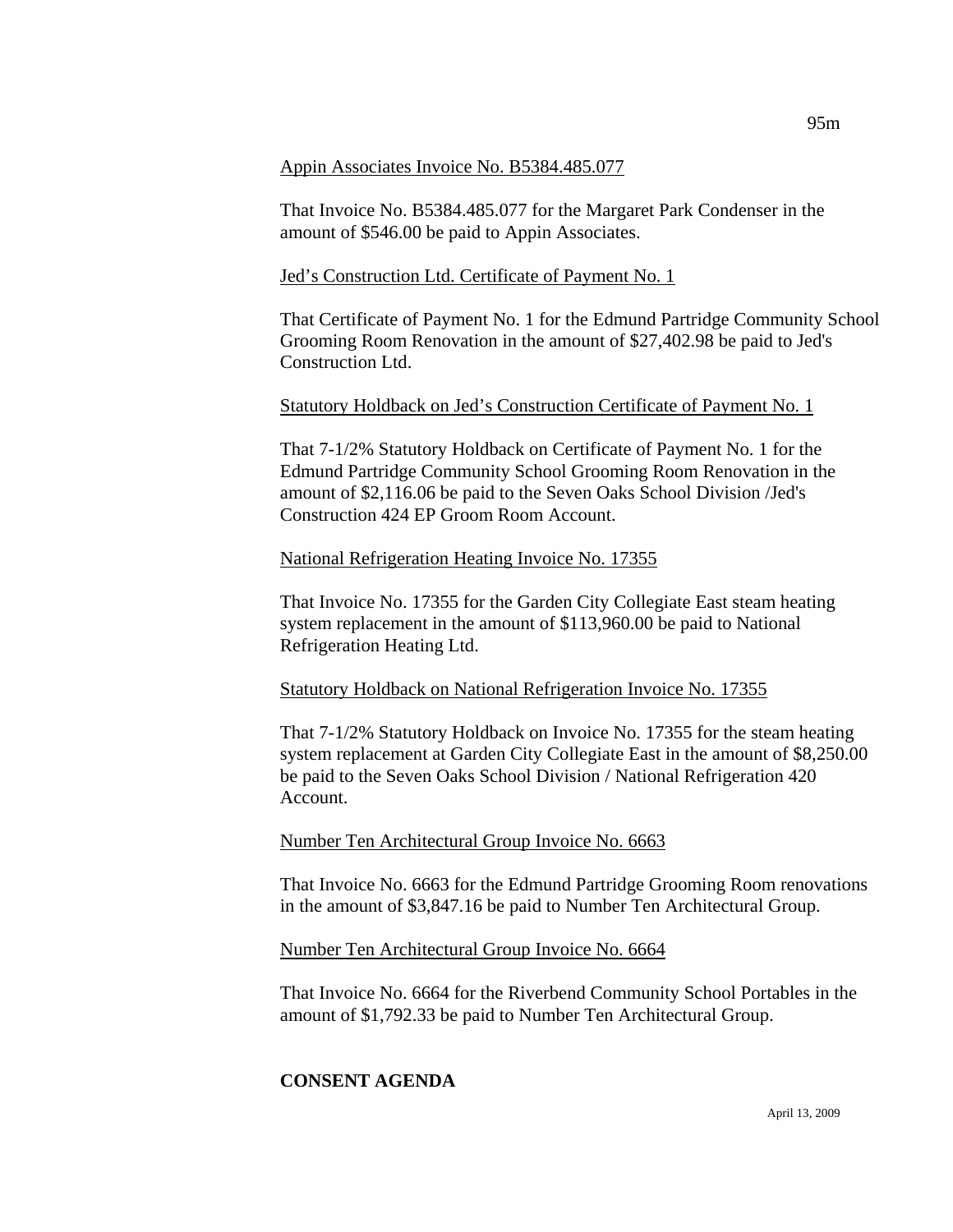#### Appin Associates Invoice No. B5384.485.077

That Invoice No. B5384.485.077 for the Margaret Park Condenser in the amount of \$546.00 be paid to Appin Associates.

#### Jed's Construction Ltd. Certificate of Payment No. 1

That Certificate of Payment No. 1 for the Edmund Partridge Community School Grooming Room Renovation in the amount of \$27,402.98 be paid to Jed's Construction Ltd.

#### Statutory Holdback on Jed's Construction Certificate of Payment No. 1

That 7-1/2% Statutory Holdback on Certificate of Payment No. 1 for the Edmund Partridge Community School Grooming Room Renovation in the amount of \$2,116.06 be paid to the Seven Oaks School Division /Jed's Construction 424 EP Groom Room Account.

#### National Refrigeration Heating Invoice No. 17355

That Invoice No. 17355 for the Garden City Collegiate East steam heating system replacement in the amount of \$113,960.00 be paid to National Refrigeration Heating Ltd.

#### Statutory Holdback on National Refrigeration Invoice No. 17355

That 7-1/2% Statutory Holdback on Invoice No. 17355 for the steam heating system replacement at Garden City Collegiate East in the amount of \$8,250.00 be paid to the Seven Oaks School Division / National Refrigeration 420 Account.

#### Number Ten Architectural Group Invoice No. 6663

That Invoice No. 6663 for the Edmund Partridge Grooming Room renovations in the amount of \$3,847.16 be paid to Number Ten Architectural Group.

#### Number Ten Architectural Group Invoice No. 6664

That Invoice No. 6664 for the Riverbend Community School Portables in the amount of \$1,792.33 be paid to Number Ten Architectural Group.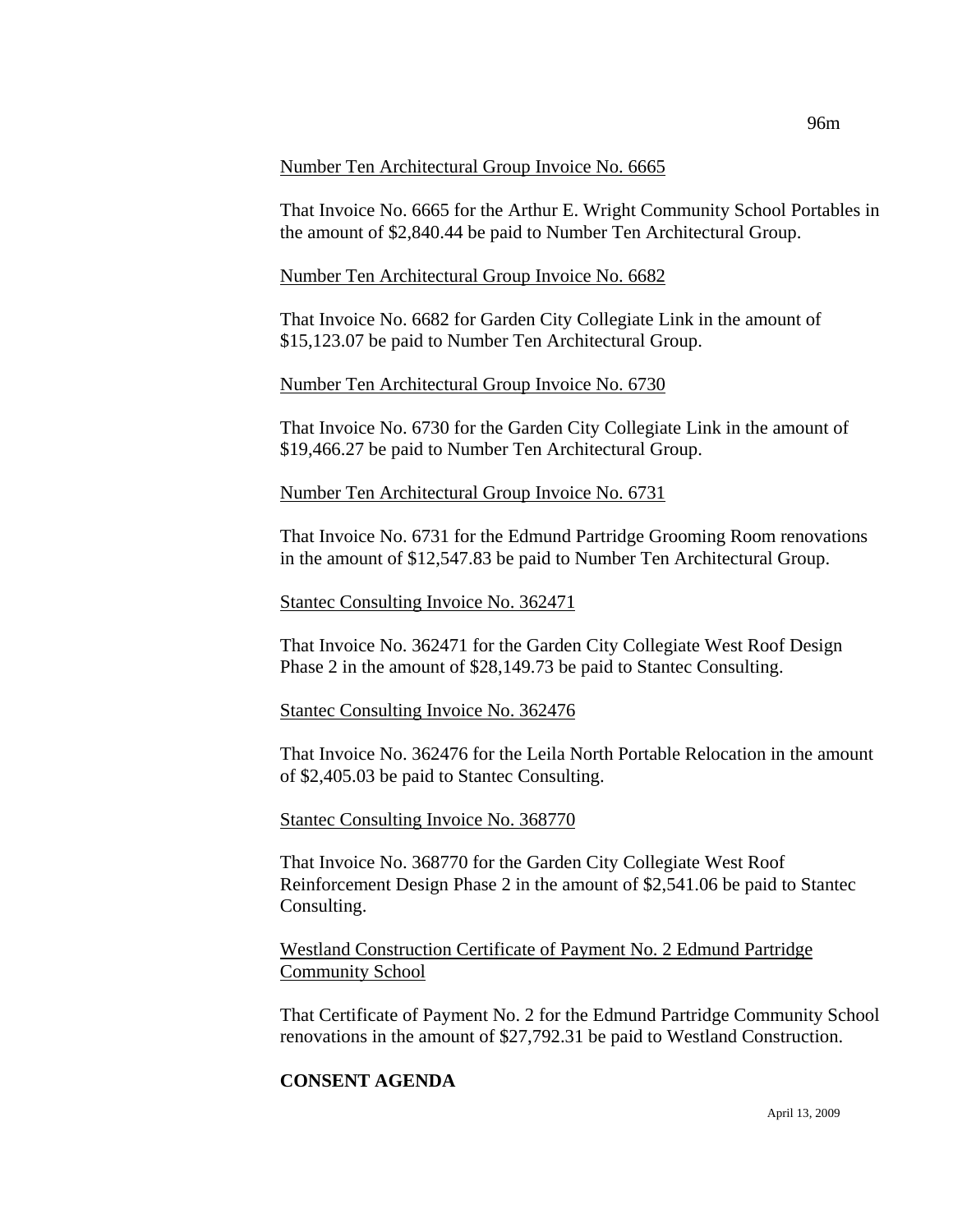#### Number Ten Architectural Group Invoice No. 6665

That Invoice No. 6665 for the Arthur E. Wright Community School Portables in the amount of \$2,840.44 be paid to Number Ten Architectural Group.

#### Number Ten Architectural Group Invoice No. 6682

That Invoice No. 6682 for Garden City Collegiate Link in the amount of \$15,123.07 be paid to Number Ten Architectural Group.

#### Number Ten Architectural Group Invoice No. 6730

That Invoice No. 6730 for the Garden City Collegiate Link in the amount of \$19,466.27 be paid to Number Ten Architectural Group.

#### Number Ten Architectural Group Invoice No. 6731

That Invoice No. 6731 for the Edmund Partridge Grooming Room renovations in the amount of \$12,547.83 be paid to Number Ten Architectural Group.

#### Stantec Consulting Invoice No. 362471

That Invoice No. 362471 for the Garden City Collegiate West Roof Design Phase 2 in the amount of \$28,149.73 be paid to Stantec Consulting.

#### Stantec Consulting Invoice No. 362476

That Invoice No. 362476 for the Leila North Portable Relocation in the amount of \$2,405.03 be paid to Stantec Consulting.

#### Stantec Consulting Invoice No. 368770

That Invoice No. 368770 for the Garden City Collegiate West Roof Reinforcement Design Phase 2 in the amount of \$2,541.06 be paid to Stantec Consulting.

Westland Construction Certificate of Payment No. 2 Edmund Partridge Community School

That Certificate of Payment No. 2 for the Edmund Partridge Community School renovations in the amount of \$27,792.31 be paid to Westland Construction.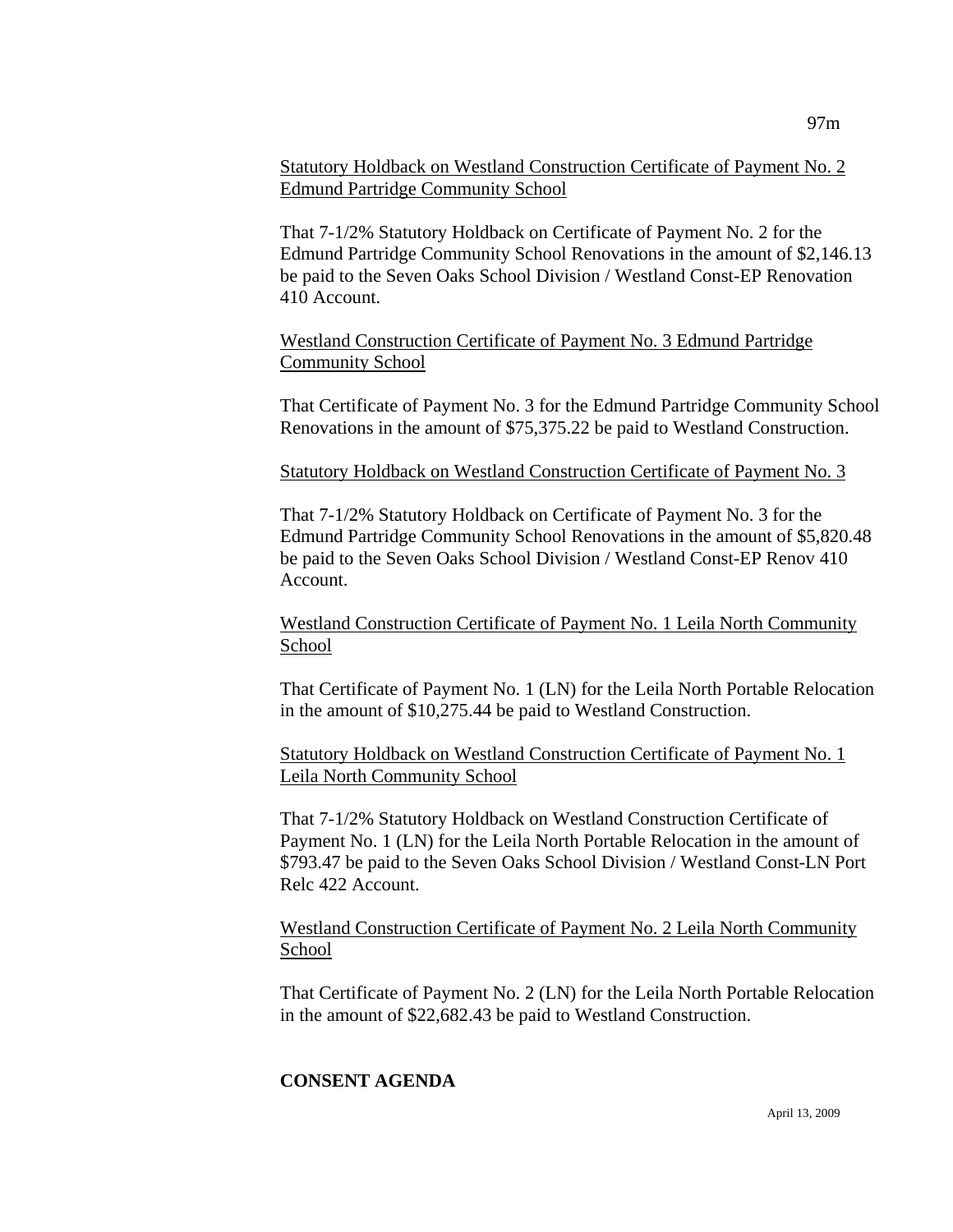Statutory Holdback on Westland Construction Certificate of Payment No. 2 Edmund Partridge Community School

That 7-1/2% Statutory Holdback on Certificate of Payment No. 2 for the Edmund Partridge Community School Renovations in the amount of \$2,146.13 be paid to the Seven Oaks School Division / Westland Const-EP Renovation 410 Account.

Westland Construction Certificate of Payment No. 3 Edmund Partridge Community School

That Certificate of Payment No. 3 for the Edmund Partridge Community School Renovations in the amount of \$75,375.22 be paid to Westland Construction.

Statutory Holdback on Westland Construction Certificate of Payment No. 3

That 7-1/2% Statutory Holdback on Certificate of Payment No. 3 for the Edmund Partridge Community School Renovations in the amount of \$5,820.48 be paid to the Seven Oaks School Division / Westland Const-EP Renov 410 Account.

Westland Construction Certificate of Payment No. 1 Leila North Community School

That Certificate of Payment No. 1 (LN) for the Leila North Portable Relocation in the amount of \$10,275.44 be paid to Westland Construction.

Statutory Holdback on Westland Construction Certificate of Payment No. 1 Leila North Community School

That 7-1/2% Statutory Holdback on Westland Construction Certificate of Payment No. 1 (LN) for the Leila North Portable Relocation in the amount of \$793.47 be paid to the Seven Oaks School Division / Westland Const-LN Port Relc 422 Account.

Westland Construction Certificate of Payment No. 2 Leila North Community School

That Certificate of Payment No. 2 (LN) for the Leila North Portable Relocation in the amount of \$22,682.43 be paid to Westland Construction.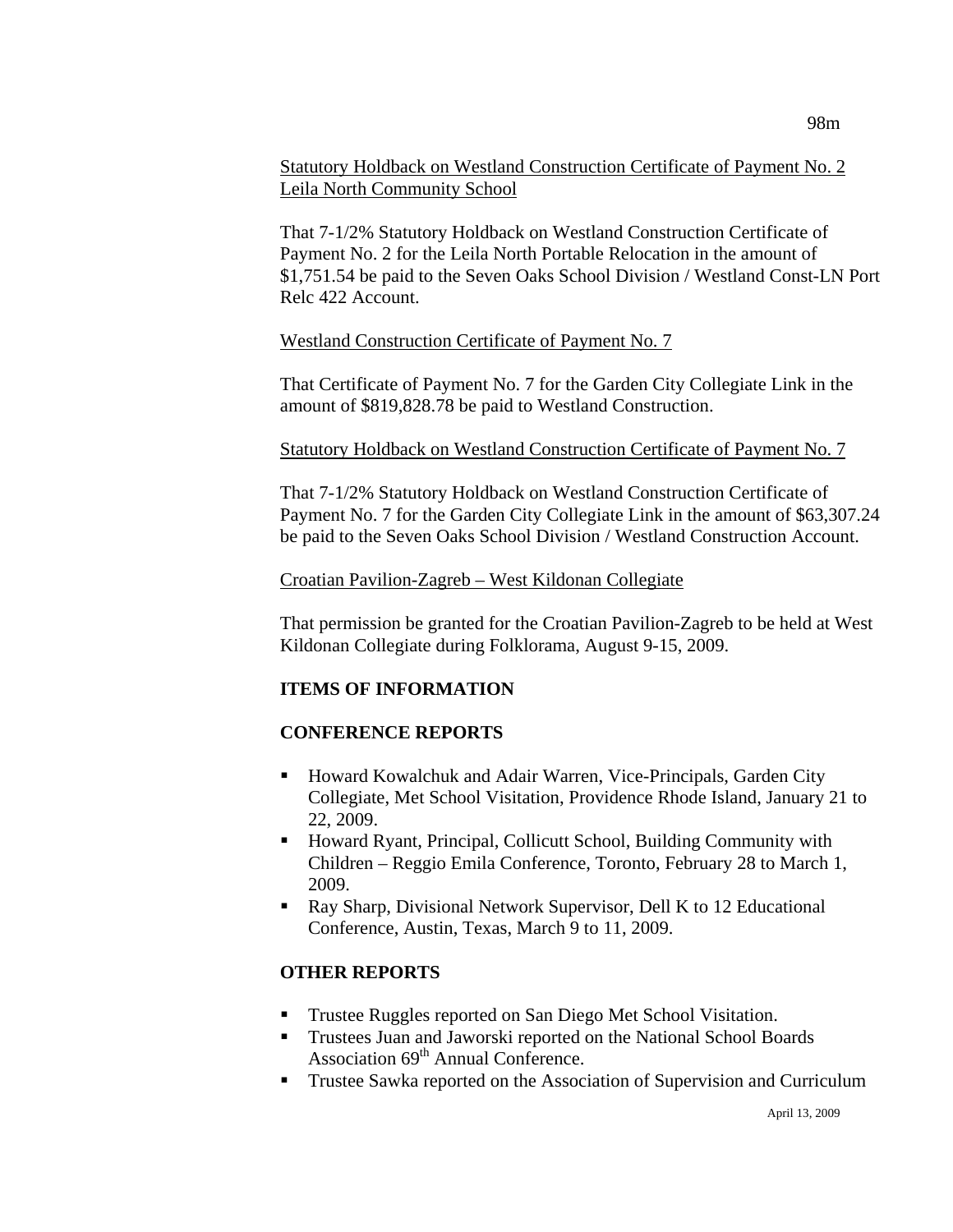## Statutory Holdback on Westland Construction Certificate of Payment No. 2 Leila North Community School

That 7-1/2% Statutory Holdback on Westland Construction Certificate of Payment No. 2 for the Leila North Portable Relocation in the amount of \$1,751.54 be paid to the Seven Oaks School Division / Westland Const-LN Port Relc 422 Account.

#### Westland Construction Certificate of Payment No. 7

That Certificate of Payment No. 7 for the Garden City Collegiate Link in the amount of \$819,828.78 be paid to Westland Construction.

#### Statutory Holdback on Westland Construction Certificate of Payment No. 7

That 7-1/2% Statutory Holdback on Westland Construction Certificate of Payment No. 7 for the Garden City Collegiate Link in the amount of \$63,307.24 be paid to the Seven Oaks School Division / Westland Construction Account.

#### Croatian Pavilion-Zagreb – West Kildonan Collegiate

That permission be granted for the Croatian Pavilion-Zagreb to be held at West Kildonan Collegiate during Folklorama, August 9-15, 2009.

## **ITEMS OF INFORMATION**

## **CONFERENCE REPORTS**

- Howard Kowalchuk and Adair Warren, Vice-Principals, Garden City Collegiate, Met School Visitation, Providence Rhode Island, January 21 to 22, 2009.
- Howard Ryant, Principal, Collicutt School, Building Community with Children – Reggio Emila Conference, Toronto, February 28 to March 1, 2009.
- Ray Sharp, Divisional Network Supervisor, Dell K to 12 Educational Conference, Austin, Texas, March 9 to 11, 2009.

## **OTHER REPORTS**

- Trustee Ruggles reported on San Diego Met School Visitation.
- **Trustees Juan and Jaworski reported on the National School Boards** Association  $69<sup>th</sup>$  Annual Conference.
- **Trustee Sawka reported on the Association of Supervision and Curriculum**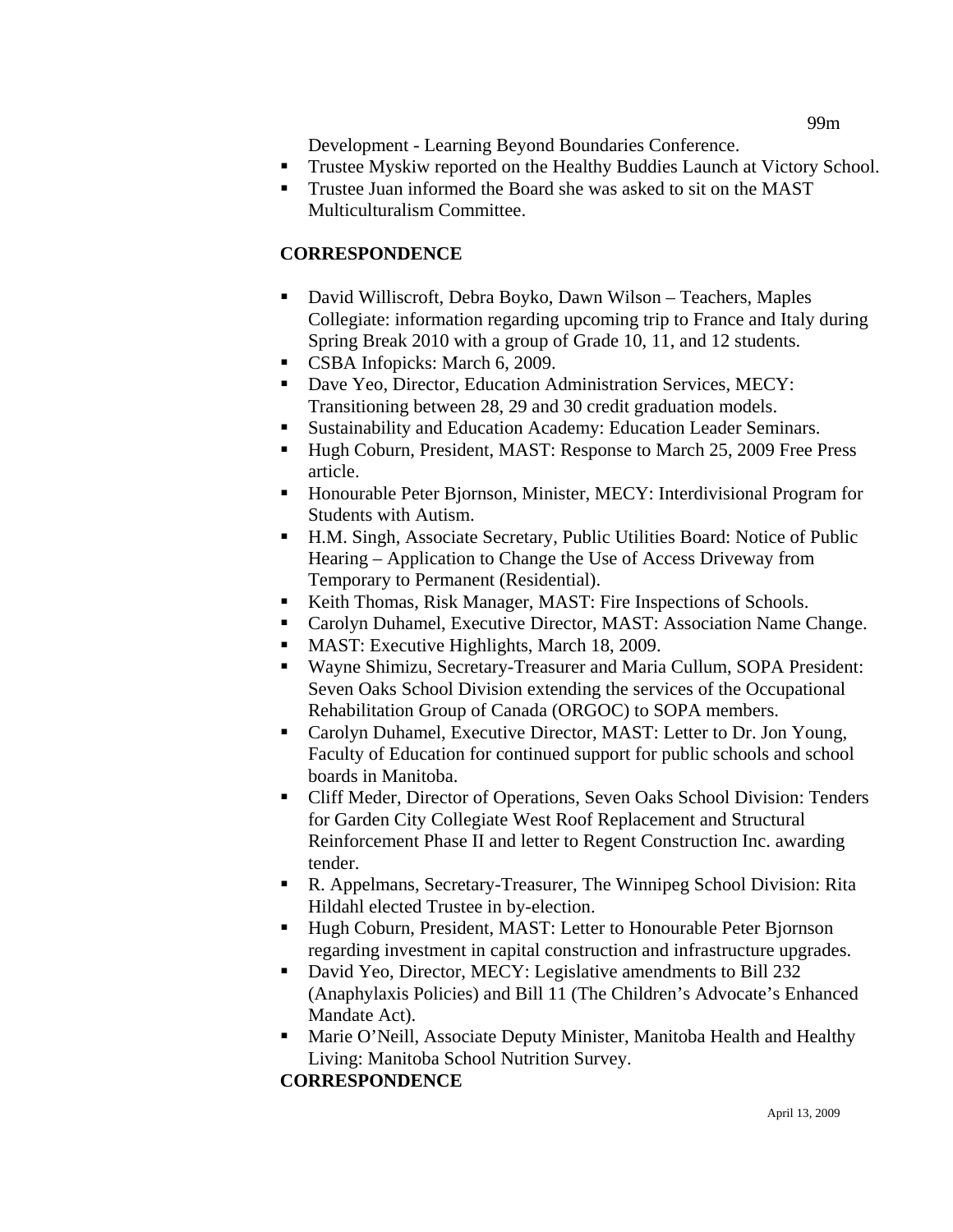99m

Development - Learning Beyond Boundaries Conference.

- **Trustee Myskiw reported on the Healthy Buddies Launch at Victory School.**
- Trustee Juan informed the Board she was asked to sit on the MAST Multiculturalism Committee.

## **CORRESPONDENCE**

- David Williscroft, Debra Boyko, Dawn Wilson Teachers, Maples Collegiate: information regarding upcoming trip to France and Italy during Spring Break 2010 with a group of Grade 10, 11, and 12 students.
- CSBA Infopicks: March 6, 2009.
- Dave Yeo, Director, Education Administration Services, MECY: Transitioning between 28, 29 and 30 credit graduation models.
	- Sustainability and Education Academy: Education Leader Seminars.
- Hugh Coburn, President, MAST: Response to March 25, 2009 Free Press article.
- Honourable Peter Bjornson, Minister, MECY: Interdivisional Program for Students with Autism.
- H.M. Singh, Associate Secretary, Public Utilities Board: Notice of Public Hearing – Application to Change the Use of Access Driveway from Temporary to Permanent (Residential).
- Keith Thomas, Risk Manager, MAST: Fire Inspections of Schools.
- Carolyn Duhamel, Executive Director, MAST: Association Name Change.
- **MAST:** Executive Highlights, March 18, 2009.
- Wayne Shimizu, Secretary-Treasurer and Maria Cullum, SOPA President: Seven Oaks School Division extending the services of the Occupational Rehabilitation Group of Canada (ORGOC) to SOPA members.
- Carolyn Duhamel, Executive Director, MAST: Letter to Dr. Jon Young, Faculty of Education for continued support for public schools and school boards in Manitoba.
- Cliff Meder, Director of Operations, Seven Oaks School Division: Tenders for Garden City Collegiate West Roof Replacement and Structural Reinforcement Phase II and letter to Regent Construction Inc. awarding tender.
- R. Appelmans, Secretary-Treasurer, The Winnipeg School Division: Rita Hildahl elected Trustee in by-election.
- Hugh Coburn, President, MAST: Letter to Honourable Peter Bjornson regarding investment in capital construction and infrastructure upgrades.
- David Yeo, Director, MECY: Legislative amendments to Bill 232 (Anaphylaxis Policies) and Bill 11 (The Children's Advocate's Enhanced Mandate Act).
- **Marie O'Neill, Associate Deputy Minister, Manitoba Health and Healthy** Living: Manitoba School Nutrition Survey.

**CORRESPONDENCE**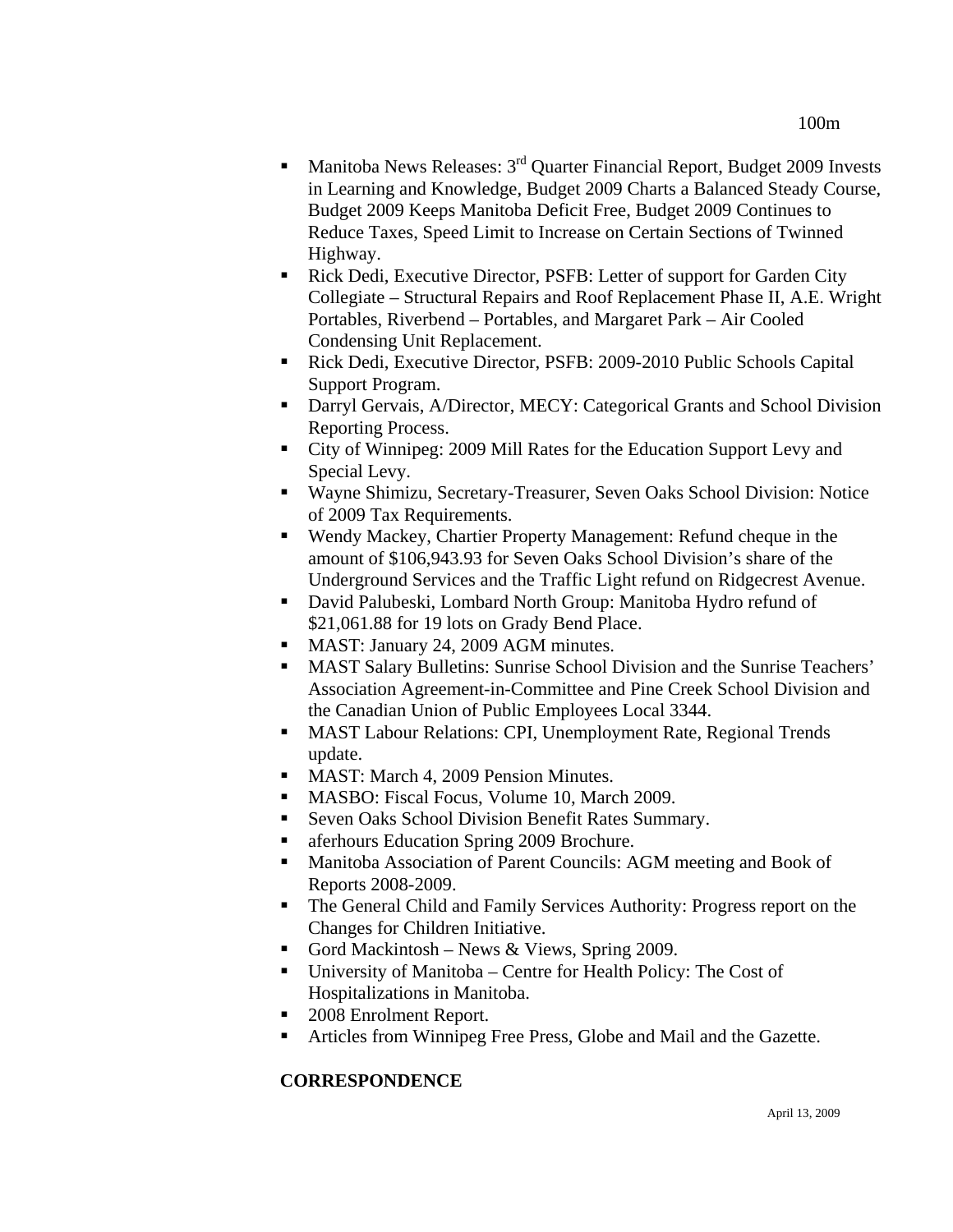- **Manitoba News Releases:**  $3^{rd}$  Quarter Financial Report, Budget 2009 Invests in Learning and Knowledge, Budget 2009 Charts a Balanced Steady Course, Budget 2009 Keeps Manitoba Deficit Free, Budget 2009 Continues to Reduce Taxes, Speed Limit to Increase on Certain Sections of Twinned Highway.
- Rick Dedi, Executive Director, PSFB: Letter of support for Garden City Collegiate – Structural Repairs and Roof Replacement Phase II, A.E. Wright Portables, Riverbend – Portables, and Margaret Park – Air Cooled Condensing Unit Replacement.
- Rick Dedi, Executive Director, PSFB: 2009-2010 Public Schools Capital Support Program.
- Darryl Gervais, A/Director, MECY: Categorical Grants and School Division Reporting Process.
- City of Winnipeg: 2009 Mill Rates for the Education Support Levy and Special Levy.
- Wayne Shimizu, Secretary-Treasurer, Seven Oaks School Division: Notice of 2009 Tax Requirements.
- Wendy Mackey, Chartier Property Management: Refund cheque in the amount of \$106,943.93 for Seven Oaks School Division's share of the Underground Services and the Traffic Light refund on Ridgecrest Avenue.
- David Palubeski, Lombard North Group: Manitoba Hydro refund of \$21,061.88 for 19 lots on Grady Bend Place.
- MAST: January 24, 2009 AGM minutes.
- MAST Salary Bulletins: Sunrise School Division and the Sunrise Teachers' Association Agreement-in-Committee and Pine Creek School Division and the Canadian Union of Public Employees Local 3344.
- MAST Labour Relations: CPI, Unemployment Rate, Regional Trends update.
- MAST: March 4, 2009 Pension Minutes.
- **MASBO: Fiscal Focus, Volume 10, March 2009.**
- Seven Oaks School Division Benefit Rates Summary.
- aferhours Education Spring 2009 Brochure.
- Manitoba Association of Parent Councils: AGM meeting and Book of Reports 2008-2009.
- The General Child and Family Services Authority: Progress report on the Changes for Children Initiative.
- Gord Mackintosh News & Views, Spring 2009.
- University of Manitoba Centre for Health Policy: The Cost of Hospitalizations in Manitoba.
- 2008 Enrolment Report.
- Articles from Winnipeg Free Press, Globe and Mail and the Gazette.

## **CORRESPONDENCE**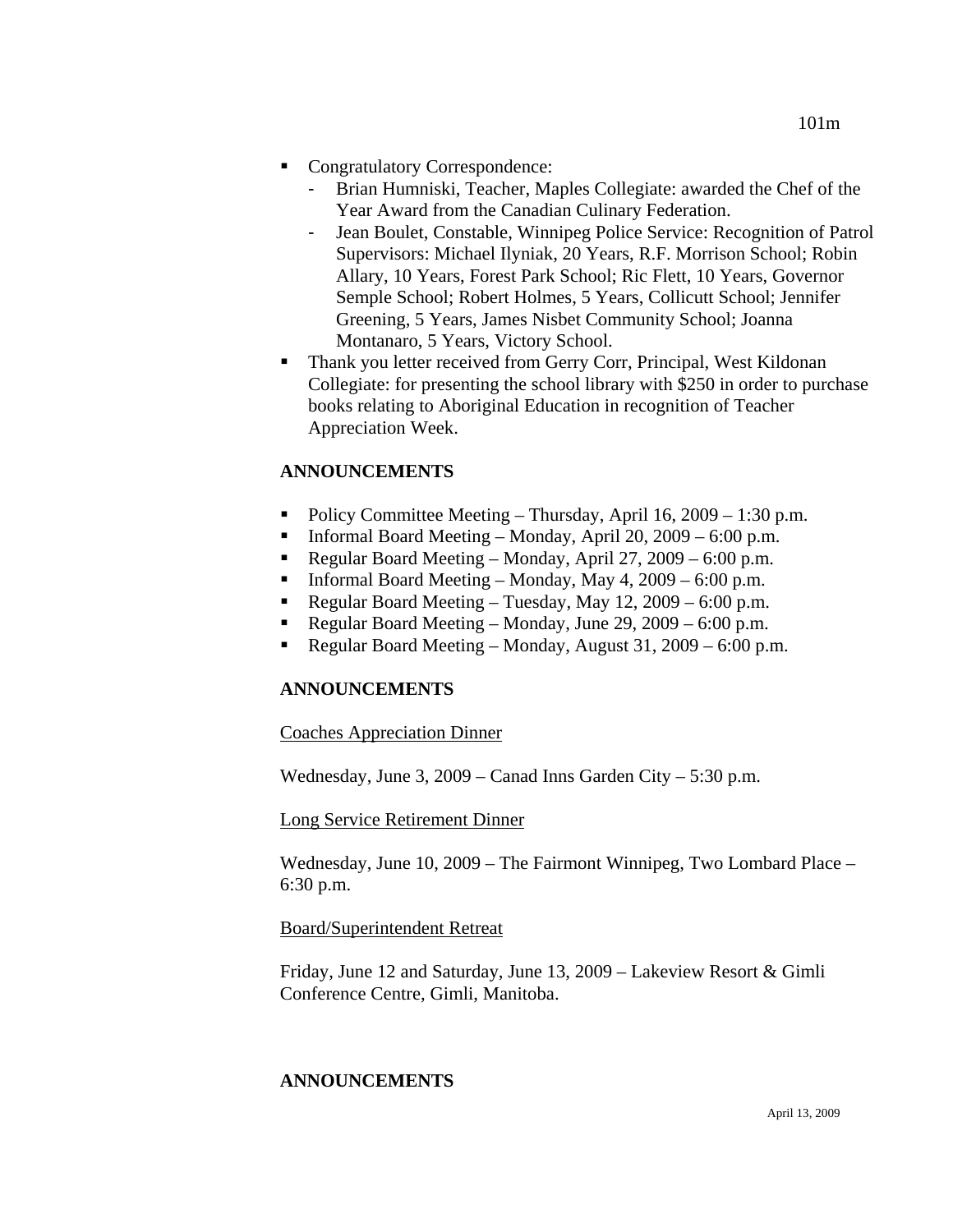- Congratulatory Correspondence:
	- Brian Humniski, Teacher, Maples Collegiate: awarded the Chef of the Year Award from the Canadian Culinary Federation.
	- Jean Boulet, Constable, Winnipeg Police Service: Recognition of Patrol Supervisors: Michael Ilyniak, 20 Years, R.F. Morrison School; Robin Allary, 10 Years, Forest Park School; Ric Flett, 10 Years, Governor Semple School; Robert Holmes, 5 Years, Collicutt School; Jennifer Greening, 5 Years, James Nisbet Community School; Joanna Montanaro, 5 Years, Victory School.
- Thank you letter received from Gerry Corr, Principal, West Kildonan Collegiate: for presenting the school library with \$250 in order to purchase books relating to Aboriginal Education in recognition of Teacher Appreciation Week.

## **ANNOUNCEMENTS**

- Policy Committee Meeting Thursday, April 16,  $2009 1:30$  p.m.
- **Informal Board Meeting Monday, April 20, 2009 6:00 p.m.**
- Regular Board Meeting Monday, April 27, 2009 6:00 p.m.
- Informal Board Meeting Monday, May  $4$ , 2009 6:00 p.m.
- Regular Board Meeting Tuesday, May 12,  $2009 6:00$  p.m.
- Regular Board Meeting Monday, June 29, 2009 6:00 p.m.
- Regular Board Meeting Monday, August 31,  $2009 6:00$  p.m.

## **ANNOUNCEMENTS**

Coaches Appreciation Dinner

Wednesday, June 3, 2009 – Canad Inns Garden City – 5:30 p.m.

Long Service Retirement Dinner

Wednesday, June 10, 2009 – The Fairmont Winnipeg, Two Lombard Place – 6:30 p.m.

#### Board/Superintendent Retreat

Friday, June 12 and Saturday, June 13, 2009 – Lakeview Resort & Gimli Conference Centre, Gimli, Manitoba.

## **ANNOUNCEMENTS**